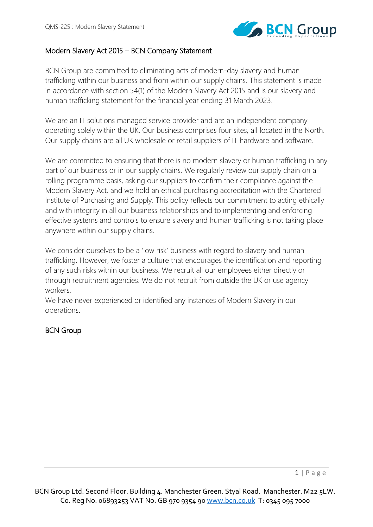

# Modern Slavery Act 2015 – BCN Company Statement

BCN Group are committed to eliminating acts of modern-day slavery and human trafficking within our business and from within our supply chains. This statement is made in accordance with section 54(1) of the Modern Slavery Act 2015 and is our slavery and human trafficking statement for the financial year ending 31 March 2023.

We are an IT solutions managed service provider and are an independent company operating solely within the UK. Our business comprises four sites, all located in the North. Our supply chains are all UK wholesale or retail suppliers of IT hardware and software.

We are committed to ensuring that there is no modern slavery or human trafficking in any part of our business or in our supply chains. We regularly review our supply chain on a rolling programme basis, asking our suppliers to confirm their compliance against the Modern Slavery Act, and we hold an ethical purchasing accreditation with the Chartered Institute of Purchasing and Supply. This policy reflects our commitment to acting ethically and with integrity in all our business relationships and to implementing and enforcing effective systems and controls to ensure slavery and human trafficking is not taking place anywhere within our supply chains.

We consider ourselves to be a 'low risk' business with regard to slavery and human trafficking. However, we foster a culture that encourages the identification and reporting of any such risks within our business. We recruit all our employees either directly or through recruitment agencies. We do not recruit from outside the UK or use agency workers.

We have never experienced or identified any instances of Modern Slavery in our operations.

# BCN Group